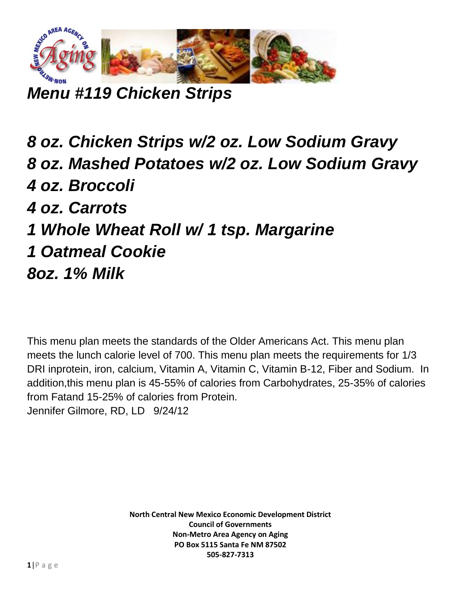

*Menu #119 Chicken Strips*

*8 oz. Chicken Strips w/2 oz. Low Sodium Gravy 8 oz. Mashed Potatoes w/2 oz. Low Sodium Gravy 4 oz. Broccoli 4 oz. Carrots 1 Whole Wheat Roll w/ 1 tsp. Margarine 1 Oatmeal Cookie 8oz. 1% Milk*

This menu plan meets the standards of the Older Americans Act. This menu plan meets the lunch calorie level of 700. This menu plan meets the requirements for 1/3 DRI inprotein, iron, calcium, Vitamin A, Vitamin C, Vitamin B-12, Fiber and Sodium. In addition,this menu plan is 45-55% of calories from Carbohydrates, 25-35% of calories from Fatand 15-25% of calories from Protein. Jennifer Gilmore, RD, LD 9/24/12

> **North Central New Mexico Economic Development District Council of Governments Non-Metro Area Agency on Aging PO Box 5115 Santa Fe NM 87502 505-827-7313**